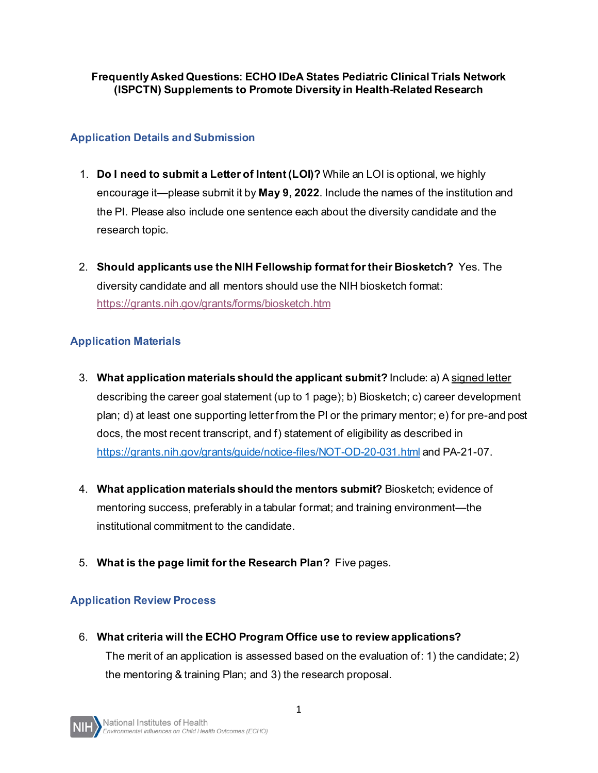#### **Frequently Asked Questions: ECHO IDeA States Pediatric Clinical Trials Network (ISPCTN) Supplements to Promote Diversity in Health-Related Research**

## **Application Details and Submission**

- 1. **Do I need to submit a Letter of Intent (LOI)?** While an LOI is optional, we highly encourage it—please submit it by **May 9, 2022**. Include the names of the institution and the PI. Please also include one sentence each about the diversity candidate and the research topic.
- 2. **Should applicants use the NIH Fellowship format for their Biosketch?** Yes. The diversity candidate and all mentors should use the NIH biosketch format: <https://grants.nih.gov/grants/forms/biosketch.htm>

# **Application Materials**

- 3. **What application materials should the applicant submit?** Include: a) A signed letter describing the career goal statement (up to 1 page); b) Biosketch; c) career development plan; d) at least one supporting letter from the PI or the primary mentor; e) for pre-and post docs, the most recent transcript, and f) statement of eligibility as described in <https://grants.nih.gov/grants/guide/notice-files/NOT-OD-20-031.html> and PA-21-07.
- 4. **What application materials should the mentors submit?** Biosketch; evidence of mentoring success, preferably in a tabular format; and training environment—the institutional commitment to the candidate.
- 5. **What is the page limit for the Research Plan?** Five pages.

### **Application Review Process**

6. **What criteria will the ECHO Program Office use to review applications?** The merit of an application is assessed based on the evaluation of: 1) the candidate; 2) the mentoring & training Plan; and 3) the research proposal.

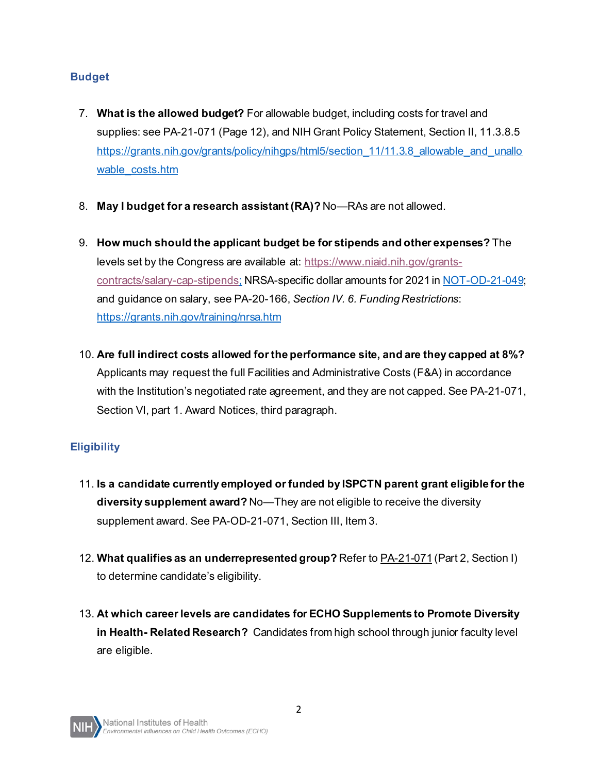### **Budget**

- 7. **What is the allowed budget?** For allowable budget, including costs for travel and supplies: see PA-21-071 (Page 12), and NIH Grant Policy Statement, Section II, 11.3.8.5 https://grants.nih.gov/grants/policy/nihgps/html5/section 11/11.3.8 allowable and unallo [wable\\_costs.htm](https://grants.nih.gov/grants/policy/nihgps/html5/section_11/11.3.8_allowable_and_unallowable_costs.htm)
- 8. **May I budget for a research assistant (RA)?** No—RAs are not allowed.
- 9. **How much should the applicant budget be for stipends and other expenses?** The levels set by the Congress are available at: [https://www.niaid.nih.gov/grants](https://www.niaid.nih.gov/grants-contracts/salary-cap-stipends)[contracts/salary-cap-stipends](https://www.niaid.nih.gov/grants-contracts/salary-cap-stipends); NRSA-specific dollar amounts for 2021 in [NOT-OD-21-049](https://malek.icourban.com/list-https-grants.nih.gov/grants/guide/notice-files/NOT-OD-21-049.html); and guidance on salary, see PA-20-166, *Section IV. 6. Funding Restrictions*: <https://grants.nih.gov/training/nrsa.htm>
- 10. **Are full indirect costs allowed for the performance site, and are they capped at 8%?** Applicants may request the full Facilities and Administrative Costs (F&A) in accordance with the Institution's negotiated rate agreement, and they are not capped. See PA-21-071, Section VI, part 1. Award Notices, third paragraph.

# **Eligibility**

- 11. **Is a candidate currently employed or funded by ISPCTN parent grant eligible for the diversity supplement award?** No—They are not eligible to receive the diversity supplement award. See PA-OD-21-071, Section III, Item 3.
- 12. **What qualifies as an underrepresented group?** Refer to PA-21-071 (Part 2, Section I) to determine candidate's eligibility.
- 13. **At which career levels are candidates for ECHO Supplements to Promote Diversity in Health- Related Research?** Candidates from high school through junior faculty level are eligible.

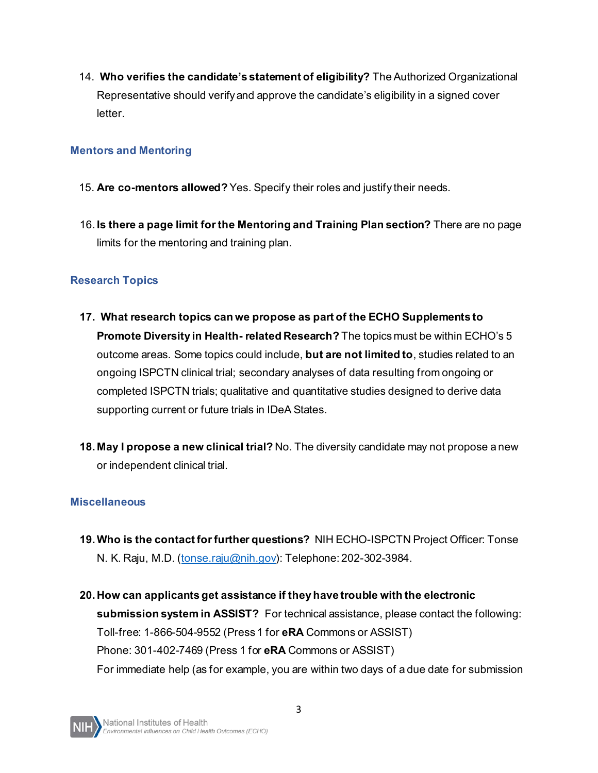14. **Who verifies the candidate's statement of eligibility?** The Authorized Organizational Representative should verify and approve the candidate's eligibility in a signed cover letter.

#### **Mentors and Mentoring**

- 15. **Are co-mentors allowed?** Yes. Specify their roles and justify their needs.
- 16. **Is there a page limit for the Mentoring and Training Plan section?** There are no page limits for the mentoring and training plan.

### **Research Topics**

- **17. What research topics can we propose as part of the ECHO Supplements to Promote Diversity in Health- related Research?** The topics must be within ECHO's 5 outcome areas. Some topics could include, **but are not limited to**, studies related to an ongoing ISPCTN clinical trial; secondary analyses of data resulting from ongoing or completed ISPCTN trials; qualitative and quantitative studies designed to derive data supporting current or future trials in IDeA States.
- **18. May I propose a new clinical trial?** No. The diversity candidate may not propose a new or independent clinical trial.

#### **Miscellaneous**

- **19.Who is the contact for further questions?** NIH ECHO-ISPCTN Project Officer: Tonse N. K. Raju, M.D. [\(tonse.raju@nih.gov\)](mailto:tonse.raju@nih.gov): Telephone: 202-302-3984.
- **20. How can applicants get assistance if they have trouble with the electronic submission system in ASSIST?** For technical assistance, please contact the following: Toll-free: 1-866-504-9552 (Press 1 for **eRA** Commons or ASSIST) Phone: 301-402-7469 (Press 1 for **eRA** Commons or ASSIST) For immediate help (as for example, you are within two days of a due date for submission